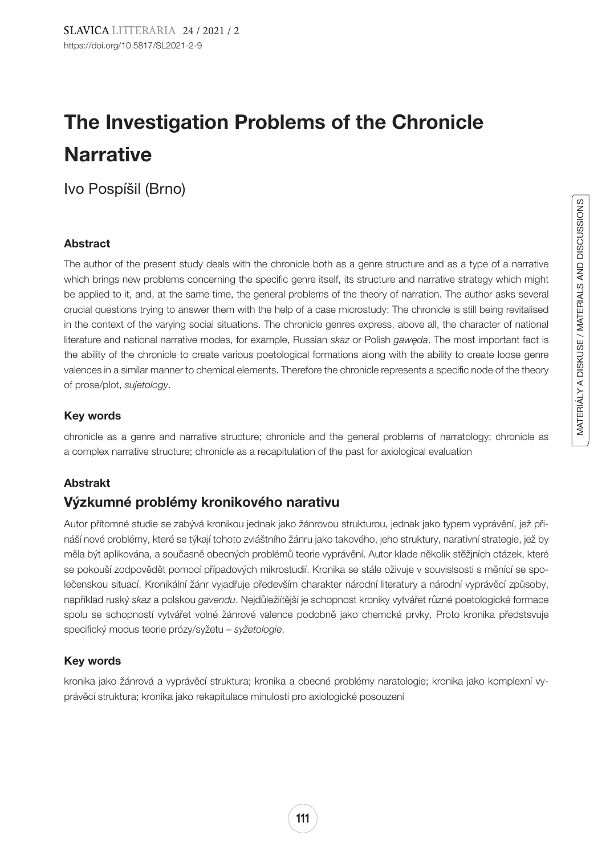# The Investigation Problems of the Chronicle **Narrative**

Ivo Pospíšil (Brno)

## Abstract

The author of the present study deals with the chronicle both as a genre structure and as a type of a narrative which brings new problems concerning the specific genre itself, its structure and narrative strategy which might be applied to it, and, at the same time, the general problems of the theory of narration. The author asks several crucial questions trying to answer them with the help of a case microstudy: The chronicle is still being revitalised in the context of the varying social situations. The chronicle genres express, above all, the character of national literature and national narrative modes, for example, Russian *skaz* or Polish *gawęda*. The most important fact is the ability of the chronicle to create various poetological formations along with the ability to create loose genre valences in a similar manner to chemical elements. Therefore the chronicle represents a specific node of the theory of prose/plot, *sujetology*.

#### Key words

chronicle as a genre and narrative structure; chronicle and the general problems of narratology; chronicle as a complex narrative structure; chronicle as a recapitulation of the past for axiological evaluation

## Abstrakt

## Výzkumné problémy kronikového narativu

Autor přítomné studie se zabývá kronikou jednak jako žánrovou strukturou, jednak jako typem vyprávění, jež přináší nové problémy, které se týkají tohoto zvláštního žánru jako takového, jeho struktury, narativní strategie, jež by měla být aplikována, a současně obecných problémů teorie vyprávění. Autor klade několik stěžjních otázek, které se pokouší zodpovědět pomocí případových mikrostudií. Kronika se stále oživuje v souvislsosti s měnící se společenskou situací. Kronikální žánr vyjadřuje především charakter národní literatury a národní vyprávěcí způsoby, například ruský *skaz* a polskou *gavendu*. Nejdůležiítější je schopnost kroniky vytvářet různé poetologické formace spolu se schopností vytvářet volné žánrové valence podobně jako chemcké prvky. Proto kronika předstsvuje specifický modus teorie prózy/syžetu – *syžetologie*.

## Key words

kronika jako žánrová a vyprávěcí struktura; kronika a obecné problémy naratologie; kronika jako komplexní vyprávěcí struktura; kronika jako rekapitulace minulosti pro axiologické posouzení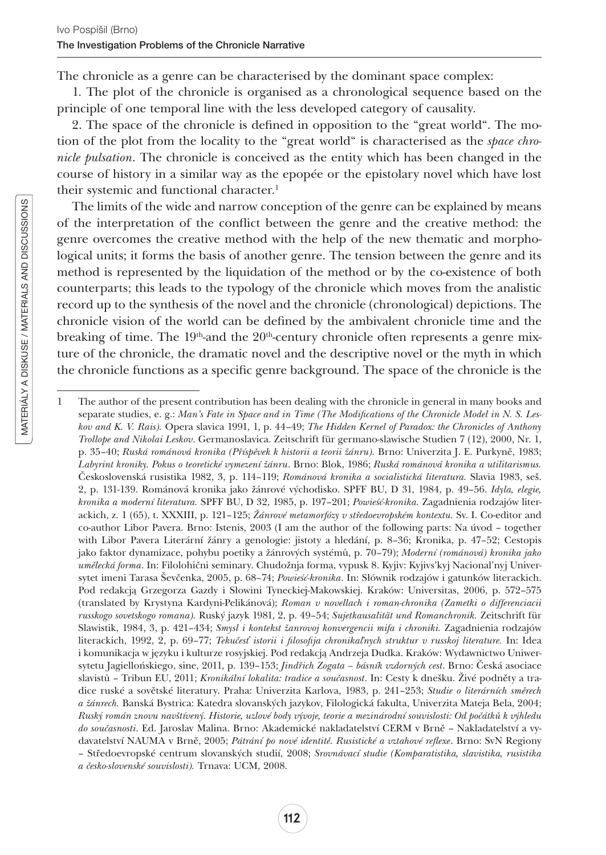The chronicle as a genre can be characterised by the dominant space complex:

1. The plot of the chronicle is organised as a chronological sequence based on the principle of one temporal line with the less developed category of causality.

2. The space of the chronicle is defined in opposition to the "great world". The motion of the plot from the locality to the "great world" is characterised as the *space chronicle pulsation*. The chronicle is conceived as the entity which has been changed in the course of history in a similar way as the epopée or the epistolary novel which have lost their systemic and functional character.<sup>1</sup>

The limits of the wide and narrow conception of the genre can be explained by means of the interpretation of the conflict between the genre and the creative method: the genre overcomes the creative method with the help of the new thematic and morphological units; it forms the basis of another genre. The tension between the genre and its method is represented by the liquidation of the method or by the co-existence of both counterparts; this leads to the typology of the chronicle which moves from the analistic record up to the synthesis of the novel and the chronicle (chronological) depictions. The chronicle vision of the world can be defined by the ambivalent chronicle time and the breaking of time. The  $19<sup>th</sup>$ -and the  $20<sup>th</sup>$ -century chronicle often represents a genre mixture of the chronicle, the dramatic novel and the descriptive novel or the myth in which the chronicle functions as a specific genre background. The space of the chronicle is the

<sup>1</sup> The author of the present contribution has been dealing with the chronicle in general in many books and separate studies, e. g.: *Man's Fate in Space and in Time (The Modifications of the Chronicle Model in N. S. Leskov and K. V. Rais).* Opera slavica 1991, 1, p. 44–49; *The Hidden Kernel of Paradox: the Chronicles of Anthony Trollope and Nikolai Leskov*. Germanoslavica. Zeitschrift für germano-slawische Studien 7 (12), 2000, Nr. 1, p. 35–40; *Ruská románová kronika (Příspěvek k historii a teorii žánru).* Brno: Univerzita J. E. Purkyně, 1983; *Labyrint kroniky. Pokus o teoretické vymezení žánru*. Brno: Blok, 1986; *Ruská románová kronika a utilitarismus.* Československá rusistika 1982, 3, p. 114–119; *Románová kronika a socialistická literatura.* Slavia 1983, seš. 2, p. 131-139. Románová kronika jako žánrové východisko. SPFF BU, D 31, 1984, p. 49–56. *Idyla, elegie, kronika a moderní literatura.* SPFF BU, D 32, 1985, p. 197–201; *Powieść-kronika.* Zagadnienia rodzajów literackich, z. 1 (65), t. XXXIII, p. 121–125; *Žánrové metamorfózy v středoevropském kontextu.* Sv. I. Co-editor and co-author Libor Pavera. Brno: Istenis, 2003 (I am the author of the following parts: Na úvod – together with Libor Pavera Literární žánry a genologie: jistoty a hledání, p. 8–36; Kronika, p. 47–52; Cestopis jako faktor dynamizace, pohybu poetiky a žánrových systémů, p. 70–79); *Moderní (románová) kronika jako umělecká forma*. In: Filolohični seminary. Chudožnja forma, vypusk 8. Kyjiv: Kyjivs'kyj Nacional'nyj Universytet imeni Tarasa Ševčenka, 2005, p. 68–74; *Powieść-kronika*. In: Słównik rodzajów i gatunków literackich. Pod redakcją Grzegorza Gazdy i Słowini Tyneckiej-Makowskiej. Kraków: Universitas, 2006, p. 572–575 (translated by Krystyna Kardyni-Pelikánová); *Roman v novellach i roman-chronika (Zametki o differenciacii russkogo sovetskogo romana).* Ruský jazyk 1981, 2, p. 49–54; *Sujetkausalität und Romanchronik.* Zeitschrift für Slawistik, 1984, 3, p. 421–434; *Smysl i kontekst žanrovoj konvergencii mifa i chroniki.* Zagadnienia rodzajów literackich, 1992, 2, p. 69–77; *Tekučesť istorii i filosofija chronikaľnych struktur v russkoj literature.* In: Idea i komunikacja w języku i kulturze rosyjskiej. Pod redakcją Andrzeja Dudka. Kraków: Wydawnictwo Uniwersytetu Jagiellońskiego, sine, 2011, p. 139–153; *Jindřich Zogata – básník vzdorných cest*. Brno: Česká asociace slavistů – Tribun EU, 2011; *Kronikální lokalita: tradice a současnost*. In: Cesty k dnešku. Živé podněty a tradice ruské a sovětské literatury. Praha: Univerzita Karlova, 1983, p. 241–253; *Studie o literárních směrech a žánrech.* Banská Bystrica: Katedra slovanských jazykov, Filologická fakulta, Univerzita Mateja Bela, 2004; *Ruský román znovu navštívený. Historie, uzlové body vývoje, teorie a mezinárodní souvislosti: Od počátků k výhledu do současnosti*. Ed. Jaroslav Malina. Brno: Akademické nakladatelství CERM v Brně – Nakladatelství a vydavatelství NAUMA v Brně, 2005; *Pátrání po nové identitě. Rusistické a vztahové reflexe*. Brno: SvN Regiony – Středoevropské centrum slovanských studií, 2008; *Srovnávací studie (Komparatistika, slavistika, rusistika a česko-slovenské souvislosti).* Trnava: UCM, 2008.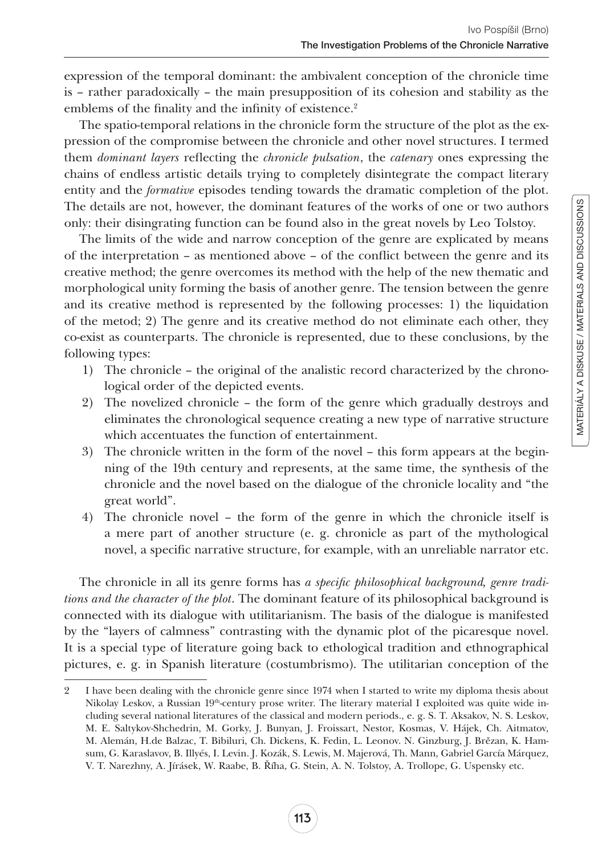expression of the temporal dominant: the ambivalent conception of the chronicle time is – rather paradoxically – the main presupposition of its cohesion and stability as the emblems of the finality and the infinity of existence.<sup>2</sup>

The spatio-temporal relations in the chronicle form the structure of the plot as the expression of the compromise between the chronicle and other novel structures. I termed them *dominant layers* reflecting the *chronicle pulsation*, the *catenary* ones expressing the chains of endless artistic details trying to completely disintegrate the compact literary entity and the *formative* episodes tending towards the dramatic completion of the plot. The details are not, however, the dominant features of the works of one or two authors only: their disingrating function can be found also in the great novels by Leo Tolstoy.

The limits of the wide and narrow conception of the genre are explicated by means of the interpretation – as mentioned above – of the conflict between the genre and its creative method; the genre overcomes its method with the help of the new thematic and morphological unity forming the basis of another genre. The tension between the genre and its creative method is represented by the following processes: 1) the liquidation of the metod; 2) The genre and its creative method do not eliminate each other, they co-exist as counterparts. The chronicle is represented, due to these conclusions, by the following types:

- 1) The chronicle the original of the analistic record characterized by the chronological order of the depicted events.
- 2) The novelized chronicle the form of the genre which gradually destroys and eliminates the chronological sequence creating a new type of narrative structure which accentuates the function of entertainment.
- 3) The chronicle written in the form of the novel this form appears at the beginning of the 19th century and represents, at the same time, the synthesis of the chronicle and the novel based on the dialogue of the chronicle locality and "the great world".
- 4) The chronicle novel the form of the genre in which the chronicle itself is a mere part of another structure (e. g. chronicle as part of the mythological novel, a specific narrative structure, for example, with an unreliable narrator etc.

The chronicle in all its genre forms has *a specific philosophical background, genre traditions and the character of the plot*. The dominant feature of its philosophical background is connected with its dialogue with utilitarianism. The basis of the dialogue is manifested by the "layers of calmness" contrasting with the dynamic plot of the picaresque novel. It is a special type of literature going back to ethological tradition and ethnographical pictures, e. g. in Spanish literature (costumbrismo). The utilitarian conception of the

<sup>2</sup> I have been dealing with the chronicle genre since 1974 when I started to write my diploma thesis about Nikolay Leskov, a Russian 19<sup>th</sup>-century prose writer. The literary material I exploited was quite wide including several national literatures of the classical and modern periods., e. g. S. T. Aksakov, N. S. Leskov, M. E. Saltykov-Shchedrin, M. Gorky, J. Bunyan, J. Froissart, Nestor, Kosmas, V. Hájek, Ch. Aitmatov, M. Alemán, H.de Balzac, T. Bibiluri, Ch. Dickens, K. Fedin, L. Leonov. N. Ginzburg, J. Brězan, K. Hamsum, G. Karaslavov, B. Illyés, I. Levin. J. Kozák, S. Lewis, M. Majerová, Th. Mann, Gabriel García Márquez, V. T. Narezhny, A. Jírásek, W. Raabe, B. Říha, G. Stein, A. N. Tolstoy, A. Trollope, G. Uspensky etc.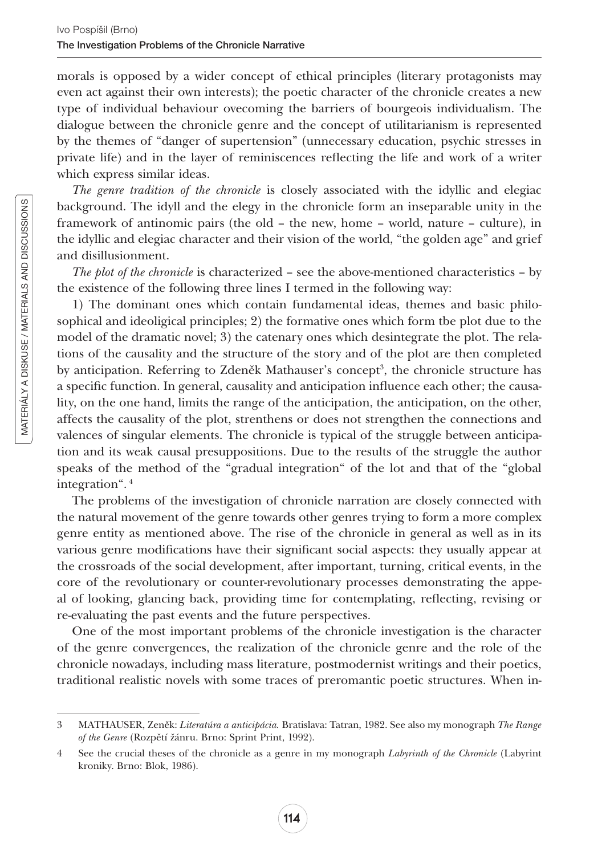morals is opposed by a wider concept of ethical principles (literary protagonists may even act against their own interests); the poetic character of the chronicle creates a new type of individual behaviour ovecoming the barriers of bourgeois individualism. The dialogue between the chronicle genre and the concept of utilitarianism is represented by the themes of "danger of supertension" (unnecessary education, psychic stresses in private life) and in the layer of reminiscences reflecting the life and work of a writer which express similar ideas.

*The genre tradition of the chronicle* is closely associated with the idyllic and elegiac background. The idyll and the elegy in the chronicle form an inseparable unity in the framework of antinomic pairs (the old – the new, home – world, nature – culture), in the idyllic and elegiac character and their vision of the world, "the golden age" and grief and disillusionment.

*The plot of the chronicle* is characterized – see the above-mentioned characteristics – by the existence of the following three lines I termed in the following way:

1) The dominant ones which contain fundamental ideas, themes and basic philosophical and ideoligical principles; 2) the formative ones which form tbe plot due to the model of the dramatic novel; 3) the catenary ones which desintegrate the plot. The relations of the causality and the structure of the story and of the plot are then completed by anticipation. Referring to Zdeněk Mathauser's concept<sup>3</sup>, the chronicle structure has a specific function. In general, causality and anticipation influence each other; the causality, on the one hand, limits the range of the anticipation, the anticipation, on the other, affects the causality of the plot, strenthens or does not strengthen the connections and valences of singular elements. The chronicle is typical of the struggle between anticipation and its weak causal presuppositions. Due to the results of the struggle the author speaks of the method of the "gradual integration" of the lot and that of the "global integration". <sup>4</sup>

The problems of the investigation of chronicle narration are closely connected with the natural movement of the genre towards other genres trying to form a more complex genre entity as mentioned above. The rise of the chronicle in general as well as in its various genre modifications have their significant social aspects: they usually appear at the crossroads of the social development, after important, turning, critical events, in the core of the revolutionary or counter-revolutionary processes demonstrating the appeal of looking, glancing back, providing time for contemplating, reflecting, revising or re-evaluating the past events and the future perspectives.

One of the most important problems of the chronicle investigation is the character of the genre convergences, the realization of the chronicle genre and the role of the chronicle nowadays, including mass literature, postmodernist writings and their poetics, traditional realistic novels with some traces of preromantic poetic structures. When in-

<sup>3</sup> MATHAUSER, Zeněk: *Literatúra a anticipácia.* Bratislava: Tatran, 1982. See also my monograph *The Range of the Genre* (Rozpětí žánru. Brno: Sprint Print, 1992).

<sup>4</sup> See the crucial theses of the chronicle as a genre in my monograph *Labyrinth of the Chronicle* (Labyrint kroniky. Brno: Blok, 1986).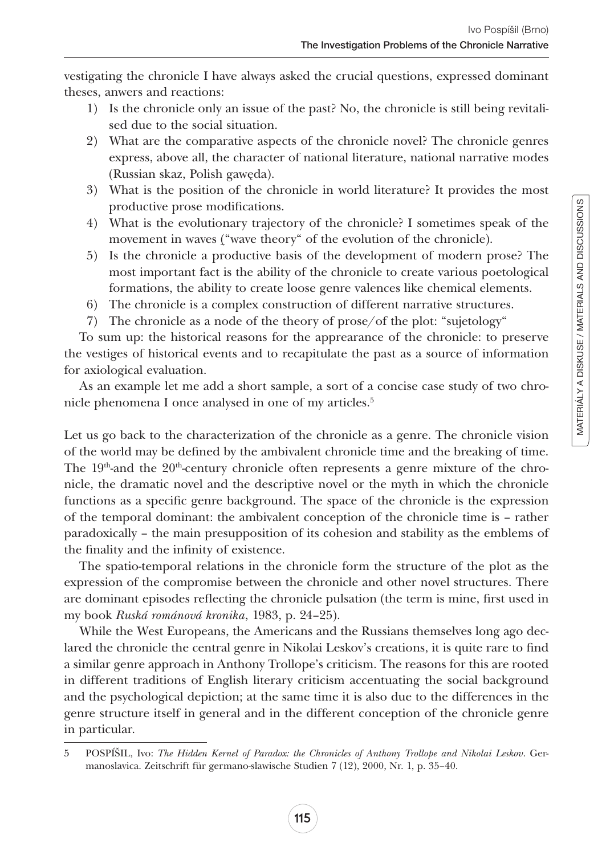vestigating the chronicle I have always asked the crucial questions, expressed dominant theses, anwers and reactions:

- 1) Is the chronicle only an issue of the past? No, the chronicle is still being revitalised due to the social situation.
- 2) What are the comparative aspects of the chronicle novel? The chronicle genres express, above all, the character of national literature, national narrative modes (Russian skaz, Polish gawęda).
- 3) What is the position of the chronicle in world literature? It provides the most productive prose modifications.
- 4) What is the evolutionary trajectory of the chronicle? I sometimes speak of the movement in waves ("wave theory" of the evolution of the chronicle).
- 5) Is the chronicle a productive basis of the development of modern prose? The most important fact is the ability of the chronicle to create various poetological formations, the ability to create loose genre valences like chemical elements.
- 6) The chronicle is a complex construction of different narrative structures.
- 7) The chronicle as a node of the theory of prose/of the plot: "sujetology"

To sum up: the historical reasons for the apprearance of the chronicle: to preserve the vestiges of historical events and to recapitulate the past as a source of information for axiological evaluation.

As an example let me add a short sample, a sort of a concise case study of two chronicle phenomena I once analysed in one of my articles.5

Let us go back to the characterization of the chronicle as a genre. The chronicle vision of the world may be defined by the ambivalent chronicle time and the breaking of time. The  $19<sup>th</sup>$ -and the  $20<sup>th</sup>$ -century chronicle often represents a genre mixture of the chronicle, the dramatic novel and the descriptive novel or the myth in which the chronicle functions as a specific genre background. The space of the chronicle is the expression of the temporal dominant: the ambivalent conception of the chronicle time is – rather paradoxically – the main presupposition of its cohesion and stability as the emblems of the finality and the infinity of existence.

The spatio-temporal relations in the chronicle form the structure of the plot as the expression of the compromise between the chronicle and other novel structures. There are dominant episodes reflecting the chronicle pulsation (the term is mine, first used in my book *Ruská románová kronika*, 1983, p. 24–25).

While the West Europeans, the Americans and the Russians themselves long ago declared the chronicle the central genre in Nikolai Leskov's creations, it is quite rare to find a similar genre approach in Anthony Trollope's criticism. The reasons for this are rooted in different traditions of English literary criticism accentuating the social background and the psychological depiction; at the same time it is also due to the differences in the genre structure itself in general and in the different conception of the chronicle genre in particular.

<sup>5</sup> POSPÍŠIL, Ivo: *The Hidden Kernel of Paradox: the Chronicles of Anthony Trollope and Nikolai Leskov*. Germanoslavica. Zeitschrift für germano-slawische Studien 7 (12), 2000, Nr. 1, p. 35–40.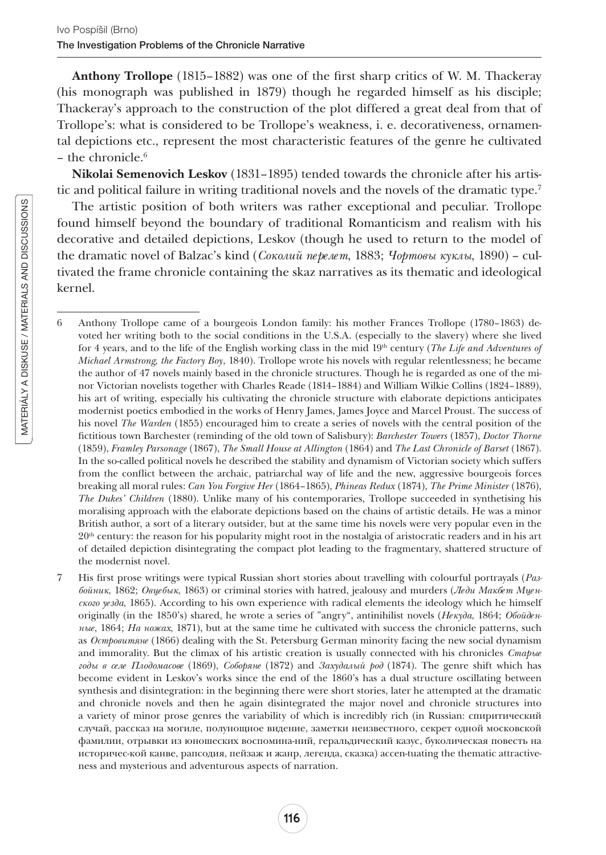Anthony Trollope (1815–1882) was one of the first sharp critics of W. M. Thackeray (his monograph was published in 1879) though he regarded himself as his disciple; Thackeray's approach to the construction of the plot differed a great deal from that of Trollope's: what is considered to be Trollope's weakness, i. e. decorativeness, ornamental depictions etc., represent the most characteristic features of the genre he cultivated – the chronicle. $6$ 

Nikolai Semenovich Leskov (1831–1895) tended towards the chronicle after his artistic and political failure in writing traditional novels and the novels of the dramatic type.7

The artistic position of both writers was rather exceptional and peculiar. Trollope found himself beyond the boundary of traditional Romanticism and realism with his decorative and detailed depictions, Leskov (though he used to return to the model of the dramatic novel of Balzac's kind (*Соколий пeрeлeт*' 1883; *Чортовы куклы*' 1890) – cultivated the frame chronicle containing the skaz narratives as its thematic and ideological kernel.

<sup>6</sup> Anthony Trollope came of a bourgeois London family: his mother Frances Trollope (1780–1863) devoted her writing both to the social conditions in the U.S.A. (especially to the slavery) where she lived for 4 years, and to the life of the English working class in the mid 19<sup>th</sup> century (*The Life and Adventures of Michael Armstrong, the Factory Boy*, 1840). Trollope wrote his novels with regular relentlessness; he became the author of 47 novels mainly based in the chronicle structures. Though he is regarded as one of the minor Victorian novelists together with Charles Reade (1814–1884) and William Wilkie Collins (1824–1889), his art of writing, especially his cultivating the chronicle structure with elaborate depictions anticipates modernist poetics embodied in the works of Henry James, James Joyce and Marcel Proust. The success of his novel *The Warden* (1855) encouraged him to create a series of novels with the central position of the fictitious town Barchester (reminding of the old town of Salisbury): *Barchester Towers* (1857), *Doctor Thorne* (1859), *Framley Parsonage* (1867), *The Small House at Allington* (1864) and *The Last Chronicle of Barset* (1867). In the so-called political novels he described the stability and dynamism of Victorian society which suffers from the conflict between the archaic, patriarchal way of life and the new, aggressive bourgeois forces breaking all moral rules: *Can You Forgive Her* (1864–1865), *Phineas Redux* (1874), *The Prime Minister* (1876), *The Dukes' Children* (1880). Unlike many of his contemporaries, Trollope succeeded in synthetising his moralising approach with the elaborate depictions based on the chains of artistic details. He was a minor British author, a sort of a literary outsider, but at the same time his novels were very popular even in the 20th century: the reason for his popularity might root in the nostalgia of aristocratic readers and in his art of detailed depiction disintegrating the compact plot leading to the fragmentary, shattered structure of the modernist novel.

<sup>7</sup> His first prose writings were typical Russian short stories about travelling with colourful portrayals (*Разбойник*' 1862; *Овцeбык*' 1863) or criminal stories with hatred, jealousy and murders (*Лeди Макбeт Мцeнского уeзда*' 1865). According to his own experience with radical elements the ideology which he himself originally (in the 1850's) shared, he wrote a series of "angry", antinihilist novels (*Нeкуда*' 1864; *Обойдeнныe*' 1864; *На ножах*' 1871), but at the same time he cultivated with success the chronicle patterns, such as *Островитянe* (1866) dealing with the St. Petersburg German minority facing the new social dynamism and immorality. But the climax of his artistic creation is usually connected with his chronicles *Старыe годы в сeлe Плодомасовe* (1869)' *Соборянe* (1872) and *Захудалый род* (1874). The genre shift which has become evident in Leskov's works since the end of the 1860's has a dual structure oscillating between synthesis and disintegration: in the beginning there were short stories, later he attempted at the dramatic and chronicle novels and then he again disintegrated the major novel and chronicle structures into a variety of minor prose genres the variability of which is incredibly rich (in Russian: спиритичeский случай' рассказ на могилe' полунощноe видeниe' замeтки нeизвeстного' сeкрeт одной московской фамилии, отрывки из юношеских воспомина-ний, геральдический казус, буколическая повесть на историчeс-кой канвe' рапсодия' пeйзаж и жанр' лeгeнда' сказка) accen-tuating the thematic attractiveness and mysterious and adventurous aspects of narration.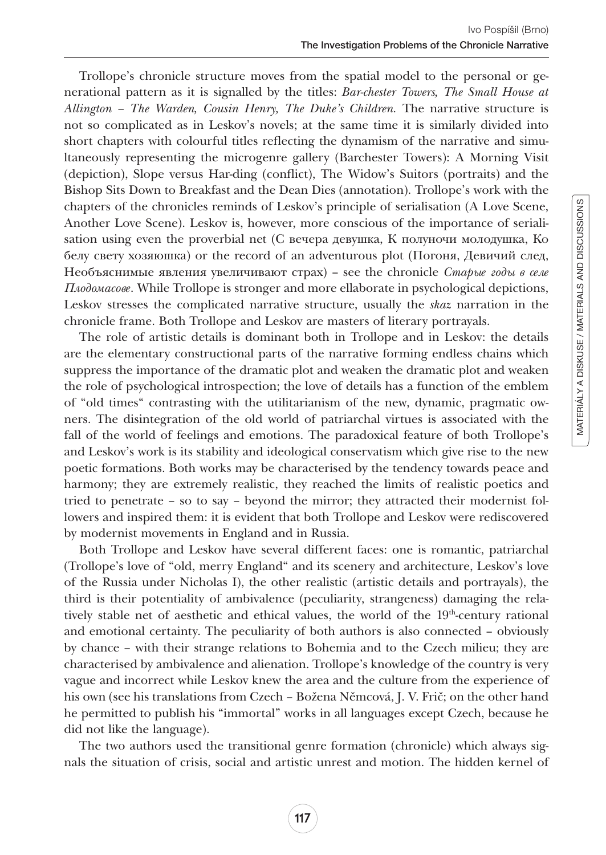Trollope's chronicle structure moves from the spatial model to the personal or generational pattern as it is signalled by the titles: *Bar-chester Towers, The Small House at Allington – The Warden, Cousin Henry, The Duke's Children.* The narrative structure is not so complicated as in Leskov's novels; at the same time it is similarly divided into short chapters with colourful titles reflecting the dynamism of the narrative and simultaneously representing the microgenre gallery (Barchester Towers): A Morning Visit (depiction), Slope versus Har-ding (conflict), The Widow's Suitors (portraits) and the Bishop Sits Down to Breakfast and the Dean Dies (annotation). Trollope's work with the chapters of the chronicles reminds of Leskov's principle of serialisation (A Love Scene, Another Love Scene). Leskov is, however, more conscious of the importance of serialisation using even the proverbial net (С вечера девушка, К полуночи молодушка, Ко белу свету хозяюшка) or the record of an adventurous plot (Погоня, Девичий след, Нeобъяснимыe явлeния увeличивают страх) – see the chronicle *Старыe годы в сeлe Плодомасовe*. While Trollope is stronger and more ellaborate in psychological depictions, Leskov stresses the complicated narrative structure, usually the *skaz* narration in the chronicle frame. Both Trollope and Leskov are masters of literary portrayals.

The role of artistic details is dominant both in Trollope and in Leskov: the details are the elementary constructional parts of the narrative forming endless chains which suppress the importance of the dramatic plot and weaken the dramatic plot and weaken the role of psychological introspection; the love of details has a function of the emblem of "old times" contrasting with the utilitarianism of the new, dynamic, pragmatic owners. The disintegration of the old world of patriarchal virtues is associated with the fall of the world of feelings and emotions. The paradoxical feature of both Trollope's and Leskov's work is its stability and ideological conservatism which give rise to the new poetic formations. Both works may be characterised by the tendency towards peace and harmony; they are extremely realistic, they reached the limits of realistic poetics and tried to penetrate – so to say – beyond the mirror; they attracted their modernist followers and inspired them: it is evident that both Trollope and Leskov were rediscovered by modernist movements in England and in Russia.

Both Trollope and Leskov have several different faces: one is romantic, patriarchal (Trollope's love of "old, merry England" and its scenery and architecture, Leskov's love of the Russia under Nicholas I), the other realistic (artistic details and portrayals), the third is their potentiality of ambivalence (peculiarity, strangeness) damaging the relatively stable net of aesthetic and ethical values, the world of the 19th-century rational and emotional certainty. The peculiarity of both authors is also connected – obviously by chance – with their strange relations to Bohemia and to the Czech milieu; they are characterised by ambivalence and alienation. Trollope's knowledge of the country is very vague and incorrect while Leskov knew the area and the culture from the experience of his own (see his translations from Czech – Božena Němcová, J. V. Frič; on the other hand he permitted to publish his "immortal" works in all languages except Czech, because he did not like the language).

The two authors used the transitional genre formation (chronicle) which always signals the situation of crisis, social and artistic unrest and motion. The hidden kernel of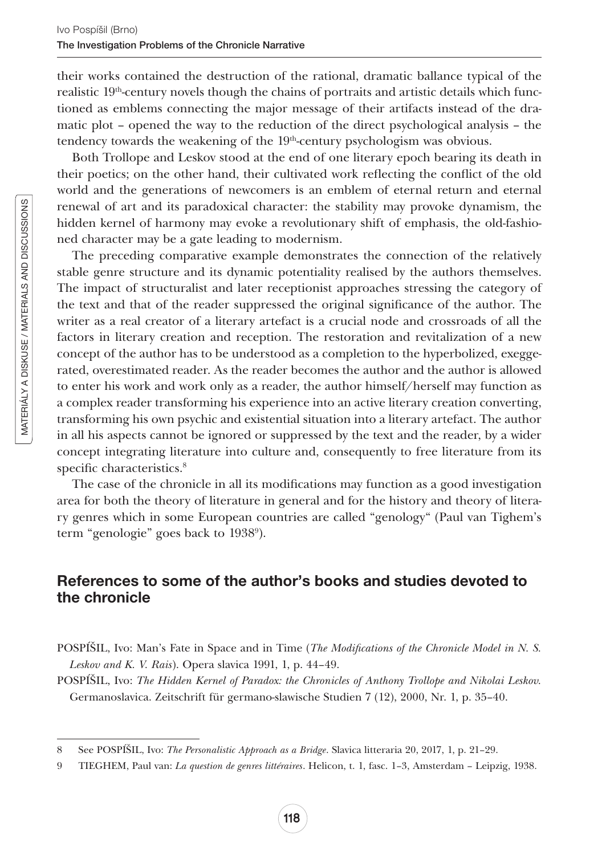their works contained the destruction of the rational, dramatic ballance typical of the realistic  $19<sup>th</sup>$ -century novels though the chains of portraits and artistic details which functioned as emblems connecting the major message of their artifacts instead of the dramatic plot – opened the way to the reduction of the direct psychological analysis – the tendency towards the weakening of the 19<sup>th</sup>-century psychologism was obvious.

Both Trollope and Leskov stood at the end of one literary epoch bearing its death in their poetics; on the other hand, their cultivated work reflecting the conflict of the old world and the generations of newcomers is an emblem of eternal return and eternal renewal of art and its paradoxical character: the stability may provoke dynamism, the hidden kernel of harmony may evoke a revolutionary shift of emphasis, the old-fashioned character may be a gate leading to modernism.

The preceding comparative example demonstrates the connection of the relatively stable genre structure and its dynamic potentiality realised by the authors themselves. The impact of structuralist and later receptionist approaches stressing the category of the text and that of the reader suppressed the original significance of the author. The writer as a real creator of a literary artefact is a crucial node and crossroads of all the factors in literary creation and reception. The restoration and revitalization of a new concept of the author has to be understood as a completion to the hyperbolized, exeggerated, overestimated reader. As the reader becomes the author and the author is allowed to enter his work and work only as a reader, the author himself/herself may function as a complex reader transforming his experience into an active literary creation converting, transforming his own psychic and existential situation into a literary artefact. The author in all his aspects cannot be ignored or suppressed by the text and the reader, by a wider concept integrating literature into culture and, consequently to free literature from its specific characteristics.<sup>8</sup>

The case of the chronicle in all its modifications may function as a good investigation area for both the theory of literature in general and for the history and theory of literary genres which in some European countries are called "genology" (Paul van Tighem's term "genologie" goes back to 19389 ).

## References to some of the author's books and studies devoted to the chronicle

POSPÍŠIL, Ivo: Man's Fate in Space and in Time (*The Modifications of the Chronicle Model in N. S. Leskov and K. V. Rais*). Opera slavica 1991, 1, p. 44–49.

POSPÍŠIL, Ivo: *The Hidden Kernel of Paradox: the Chronicles of Anthony Trollope and Nikolai Leskov.* Germanoslavica. Zeitschrift für germano-slawische Studien 7 (12), 2000, Nr. 1, p. 35–40.

<sup>8</sup> See POSPÍŠIL, Ivo: *The Personalistic Approach as a Bridge*. Slavica litteraria 20, 2017, 1, p. 21–29.

<sup>9</sup> TIEGHEM, Paul van: *La question de genres littéraires*. Helicon, t. 1, fasc. 1–3, Amsterdam – Leipzig, 1938.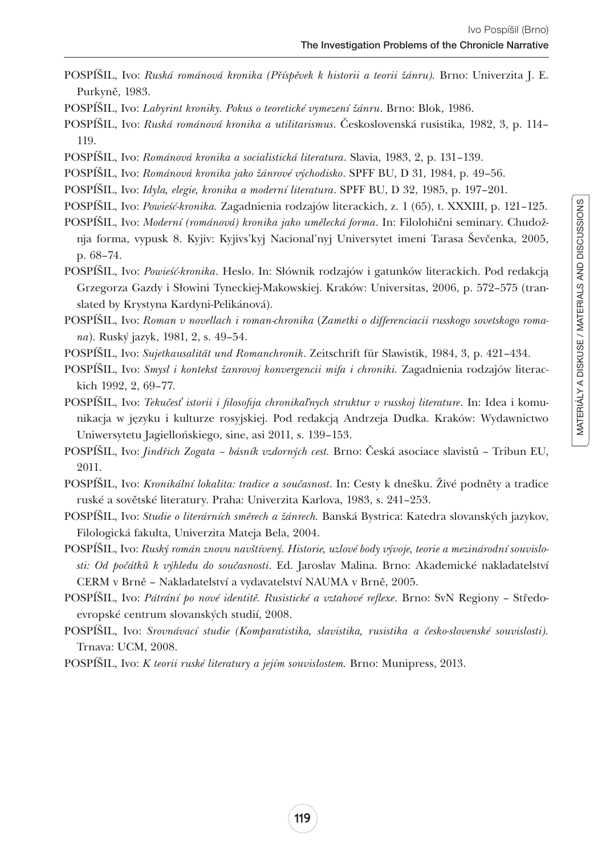- POSPÍŠIL, Ivo: *Ruská románová kronika (Příspěvek k historii a teorii žánru).* Brno: Univerzita J. E. Purkyně, 1983.
- POSPÍŠIL, Ivo: *Labyrint kroniky. Pokus o teoretické vymezení žánru*. Brno: Blok, 1986.
- POSPÍŠIL, Ivo: *Ruská románová kronika a utilitarismus*. Československá rusistika, 1982, 3, p. 114– 119.
- POSPÍŠIL, Ivo: *Románová kronika a socialistická literatura*. Slavia, 1983, 2, p. 131–139.
- POSPÍŠIL, Ivo: *Románová kronika jako žánrové východisko*. SPFF BU, D 31, 1984, p. 49–56.
- POSPÍŠIL, Ivo: *Idyla, elegie, kronika a moderní literatura*. SPFF BU, D 32, 1985, p. 197–201.
- POSPÍŠIL, Ivo: *Powieść-kronika.* Zagadnienia rodzajów literackich, z. 1 (65), t. XXXIII, p. 121–125.
- POSPÍŠIL, Ivo: *Moderní (románová) kronika jako umělecká forma*. In: Filolohični seminary. Chudožnja forma, vypusk 8. Kyjiv: Kyjivs'kyj Nacional'nyj Universytet imeni Tarasa Ševčenka, 2005, p. 68–74.

POSPÍŠIL, Ivo: *Powieść-kronika*. Heslo. In: Słównik rodzajów i gatunków literackich. Pod redakcją Grzegorza Gazdy i Słowini Tyneckiej-Makowskiej. Kraków: Universitas, 2006, p. 572–575 (translated by Krystyna Kardyni-Pelikánová).

- POSPÍŠIL, Ivo: *Roman v novellach i roman-chronika* (*Zametki o differenciacii russkogo sovetskogo romana*). Ruský jazyk, 1981, 2, s. 49–54.
- POSPÍŠIL, Ivo: *Sujetkausalität und Romanchronik*. Zeitschrift für Slawistik, 1984, 3, p. 421–434.
- POSPÍŠIL, Ivo: *Smysl i kontekst žanrovoj konvergencii mifa i chroniki.* Zagadnienia rodzajów literackich 1992, 2, 69–77.
- POSPÍŠIL, Ivo: *Tekučesť istorii i filosofija chronikaľnych struktur v russkoj literature*. In: Idea i komunikacja w języku i kulturze rosyjskiej. Pod redakcją Andrzeja Dudka. Kraków: Wydawnictwo Uniwersytetu Jagiellońskiego, sine, asi 2011, s. 139–153.
- POSPÍŠIL, Ivo: *Jindřich Zogata básník vzdorných cest.* Brno: Česká asociace slavistů Tribun EU, 2011.
- POSPÍŠIL, Ivo: *Kronikální lokalita: tradice a současnost*. In: Cesty k dnešku. Živé podněty a tradice ruské a sovětské literatury. Praha: Univerzita Karlova, 1983, s. 241–253.

POSPÍŠIL, Ivo: *Studie o literárních směrech a žánrech.* Banská Bystrica: Katedra slovanských jazykov, Filologická fakulta, Univerzita Mateja Bela, 2004.

- POSPÍŠIL, Ivo: *Ruský román znovu navštívený. Historie, uzlové body vývoje, teorie a mezinárodní souvislosti: Od počátků k výhledu do současnosti*. Ed. Jaroslav Malina. Brno: Akademické nakladatelství CERM v Brně – Nakladatelství a vydavatelství NAUMA v Brně, 2005.
- POSPÍŠIL, Ivo: *Pátrání po nové identitě. Rusistické a vztahové reflexe*. Brno: SvN Regiony Středoevropské centrum slovanských studií, 2008.
- POSPÍŠIL, Ivo: *Srovnávací studie (Komparatistika, slavistika, rusistika a česko-slovenské souvislosti).* Trnava: UCM, 2008.
- POSPÍŠIL, Ivo: *K teorii ruské literatury a jejím souvislostem.* Brno: Munipress, 2013.